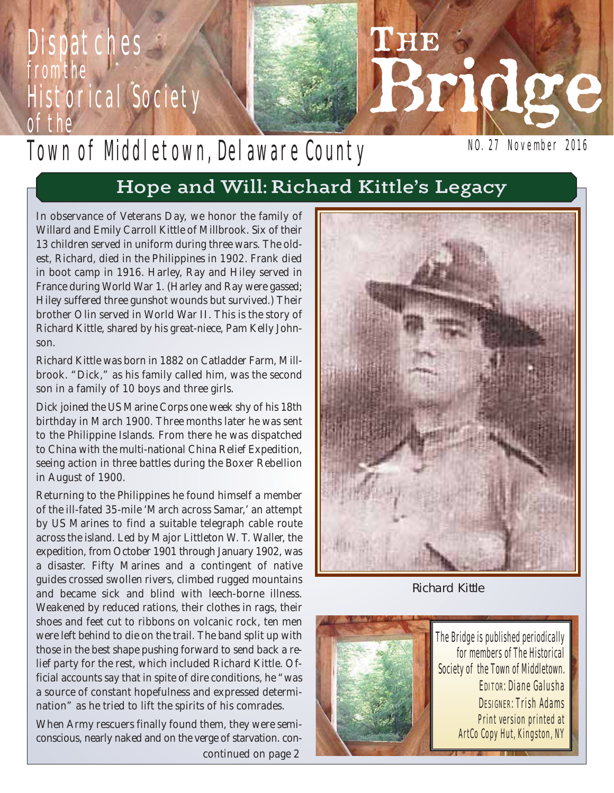# **Dispatches** from the Historical Society of the

# Town of Mddletown, Delaware County

NO. 27 November 2016

Bridge

# Hope and Will: Richard Kittle's Legacy

*In observance of Veterans Day, we honor the family of Willard and Emily Carroll Kittle of Millbrook. Six of their 13 children served in uniform during three wars. The oldest, Richard, died in the Philippines in 1902. Frank died in boot camp in 1916. Harley, Ray and Hiley served in France during World War 1. (Harley and Ray were gassed; Hiley suffered three gunshot wounds but survived.) Their brother Olin served in World War II. This is the story of Richard Kittle, shared by his great-niece, Pam Kelly Johnson.*

Richard Kittle was born in 1882 on Catladder Farm, Millbrook. "Dick," as his family called him, was the second son in a family of 10 boys and three girls.

Dick joined the US Marine Corps one week shy of his 18th birthday in March 1900. Three months later he was sent to the Philippine Islands. From there he was dispatched to China with the multi-national China Relief Expedition, seeing action in three battles during the Boxer Rebellion in August of 1900.

Returning to the Philippines he found himself a member of the ill-fated 35-mile 'March across Samar,' an attempt by US Marines to find a suitable telegraph cable route across the island. Led by Major Littleton W. T. Waller, the expedition, from October 1901 through January 1902, was a disaster. Fifty Marines and a contingent of native guides crossed swollen rivers, climbed rugged mountains and became sick and blind with leech-borne illness. Weakened by reduced rations, their clothes in rags, their shoes and feet cut to ribbons on volcanic rock, ten men were left behind to die on the trail. The band split up with those in the best shape pushing forward to send back a relief party for the rest, which included Richard Kittle. Official accounts say that in spite of dire conditions, he "was a source of constant hopefulness and expressed determination" as he tried to lift the spirits of his comrades.

When Army rescuers finally found them, they were semiconscious, nearly naked and on the verge of starvation. *concontinued on page 2*



L'HIE

Richard Kittle



The Bridge is published periodically for members of The Historical Society of the Town of Middletown. EDITOR: Diane Galusha DESIGNER: Trish Adams Print version printed at ArtCo Copy Hut, Kingston, NY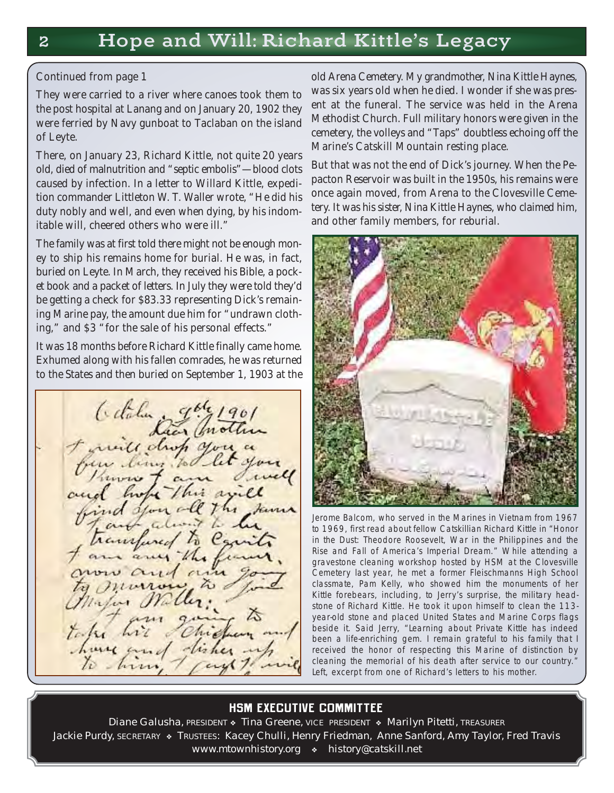#### *Continued from page 1*

They were carried to a river where canoes took them to the post hospital at Lanang and on January 20, 1902 they were ferried by Navy gunboat to Taclaban on the island of Leyte.

There, on January 23, Richard Kittle, not quite 20 years old, died of malnutrition and "septic embolis"—blood clots caused by infection. In a letter to Willard Kittle, expedition commander Littleton W. T. Waller wrote, "He did his duty nobly and well, and even when dying, by his indomitable will, cheered others who were ill."

The family was at first told there might not be enough money to ship his remains home for burial. He was, in fact, buried on Leyte. In March, they received his Bible, a pocket book and a packet of letters. In July they were told they'd be getting a check for \$83.33 representing Dick's remaining Marine pay, the amount due him for "undrawn clothing," and \$3 "for the sale of his personal effects."

It was 18 months before Richard Kittle finally came home. Exhumed along with his fallen comrades, he was returned to the States and then buried on September 1, 1903 at the

Citatur gale 19

old Arena Cemetery. My grandmother, Nina Kittle Haynes, was six years old when he died. I wonder if she was present at the funeral. The service was held in the Arena Methodist Church. Full military honors were given in the cemetery, the volleys and "Taps" doubtless echoing off the Marine's Catskill Mountain resting place.

But that was not the end of Dick's journey. When the Pepacton Reservoir was built in the 1950s, his remains were once again moved, from Arena to the Clovesville Cemetery. It was his sister, Nina Kittle Haynes, who claimed him, and other family members, for reburial.



Jerome Balcom, who served in the Marines in Vietnam from 1967 to 1969, first read about fellow Catskillian Richard Kittle in "Honor in the Dust: Theodore Roosevelt, War in the Philippines and the Rise and Fall of America's Imperial Dream." While attending a gravestone cleaning workshop hosted by HSM at the Clovesville Cemetery last year, he met a former Fleischmanns High School classmate, Pam Kelly, who showed him the monuments of her Kittle forebears, including, to Jerry's surprise, the military headstone of Richard Kittle. He took it upon himself to clean the 113 year-old stone and placed United States and Marine Corps flags beside it. Said Jerry, "Learning about Private Kittle has indeed been a life-enriching gem. I remain grateful to his family that I received the honor of respecting this Marine of distinction by cleaning the memorial of his death after service to our country." Left, excerpt from one of Richard's letters to his mother.

### **HSM EXECUTIVE COMMITTEE**

Diane Galusha, PRESIDENT • Tina Greene, VICE PRESIDENT • Marilyn Pitetti, TREASURER Jackie Purdy, SECRETARY \* TRUSTEES: Kacey Chulli, Henry Friedman, Anne Sanford, Amy Taylor, Fred Travis www.mtownhistory.org • history@catskill.net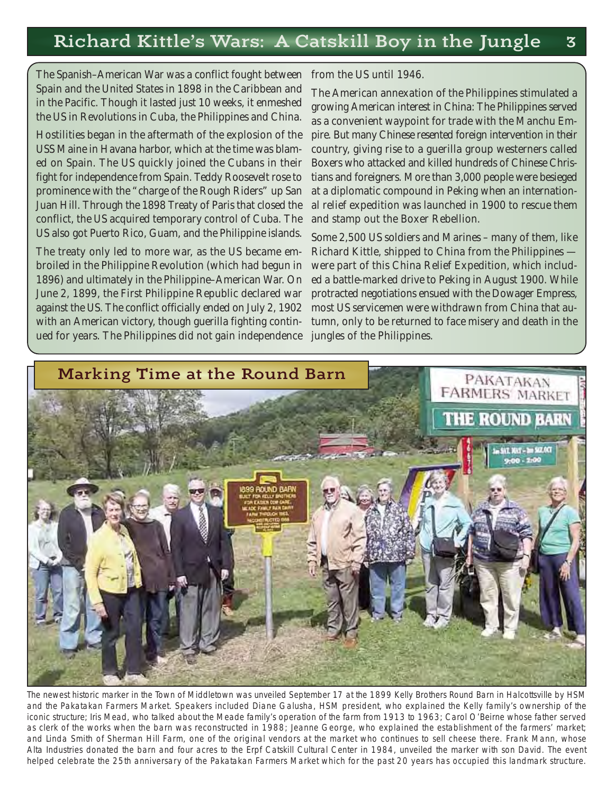### Richard Kittle's Wars: A Catskill Boy in the Jungle 3

The Spanish–American War was a conflict fought between Spain and the United States in 1898 in the Caribbean and in the Pacific. Though it lasted just 10 weeks, it enmeshed the US in Revolutions in Cuba, the Philippines and China.

Hostilities began in the aftermath of the explosion of the USS Maine in Havana harbor, which at the time was blam ed on Spain. The US quickly joined the Cubans in their fight for independence from Spain. Teddy Roosevelt rose to prominence with the "charge of the Rough Riders" up San Juan Hill. Through the 1898 Treaty of Paris that closed the conflict, the US acquired temporary control of Cuba. The US also got Puerto Rico, Guam, and the Philippine islands.

The treaty only led to more war, as the US became embroiled in the Philippine Revolution (which had begun in 1896) and ultimately in the Philippine–American War. On June 2, 1899, the First Philippine Republic declared war against the US. The conflict officially ended on July 2, 1902 with an American victory, though guerilla fighting continued for years. The Philippines did not gain independence

#### from the US until 1946.

The American annexation of the Philippines stimulated a growing American interest in China: The Philippines served as a convenient waypoint for trade with the Manchu Empire. But many Chinese resented foreign intervention in their country, giving rise to a guerilla group westerners called Boxers who attacked and killed hundreds of Chinese Christians and foreigners. More than 3,000 people were besieged at a diplomatic compound in Peking when an international relief expedition was launched in 1900 to rescue them and stamp out the Boxer Rebellion.

Some 2,500 US soldiers and Marines – many of them, like Richard Kittle, shipped to China from the Philippines were part of this China Relief Expedition, which included a battle-marked drive to Peking in August 1900. While protracted negotiations ensued with the Dowager Empress, most US servicemen were withdrawn from China that autumn, only to be returned to face misery and death in the jungles of the Philippines.



The newest historic marker in the Town of Middletown was unveiled September 17 at the 1899 Kelly Brothers Round Barn in Halcottsville by HSM and the Pakatakan Farmers Market. Speakers included Diane Galusha, HSM president, who explained the Kelly family's ownership of the iconic structure; Iris Mead, who talked about the Meade family's operation of the farm from 1913 to 1963; Carol O'Beirne whose father served as clerk of the works when the barn was reconstructed in 1988; Jeanne George, who explained the establishment of the farmers' market; and Linda Smith of Sherman Hill Farm, one of the original vendors at the market who continues to sell cheese there. Frank Mann, whose Alta Industries donated the barn and four acres to the Erpf Catskill Cultural Center in 1984, unveiled the marker with son David. The event helped celebrate the 25th anniversary of the Pakatakan Farmers Market which for the past 20 years has occupied this landmark structure.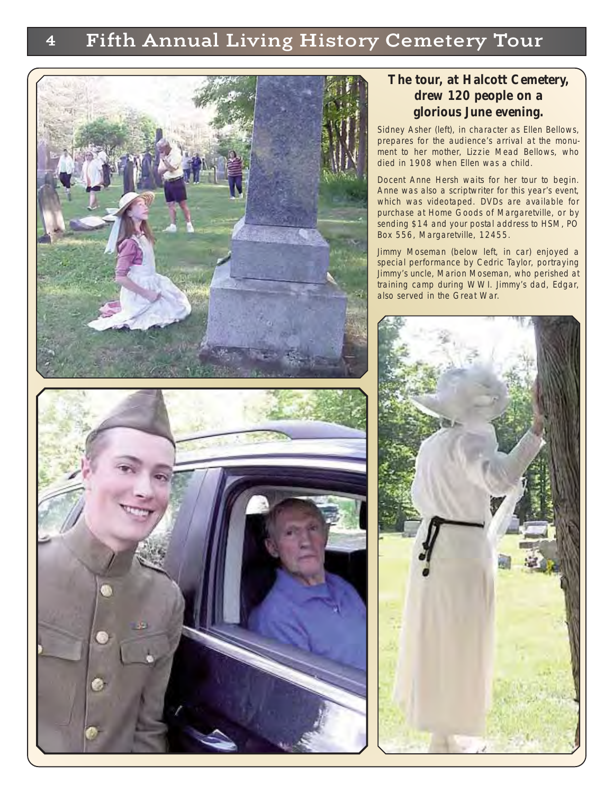## 4 Fifth Annual Living History Cemetery Tour



#### **The tour, at Halcott Cemetery, drew 120 people on a glorious June evening.**

Sidney Asher (left), in character as Ellen Bellows, prepares for the audience's arrival at the monument to her mother, Lizzie Mead Bellows, who died in 1908 when Ellen was a child.

Docent Anne Hersh waits for her tour to begin. Anne was also a scriptwriter for this year's event, which was videotaped. DVDs are available for purchase at Home Goods of Margaretville, or by sending \$14 and your postal address to HSM, PO Box 556, Margaretville, 12455.

Jimmy Moseman (below left, in car) enjoyed a special performance by Cedric Taylor, portraying Jimmy's uncle, Marion Moseman, who perished at training camp during WWI. Jimmy's dad, Edgar, also served in the Great War.

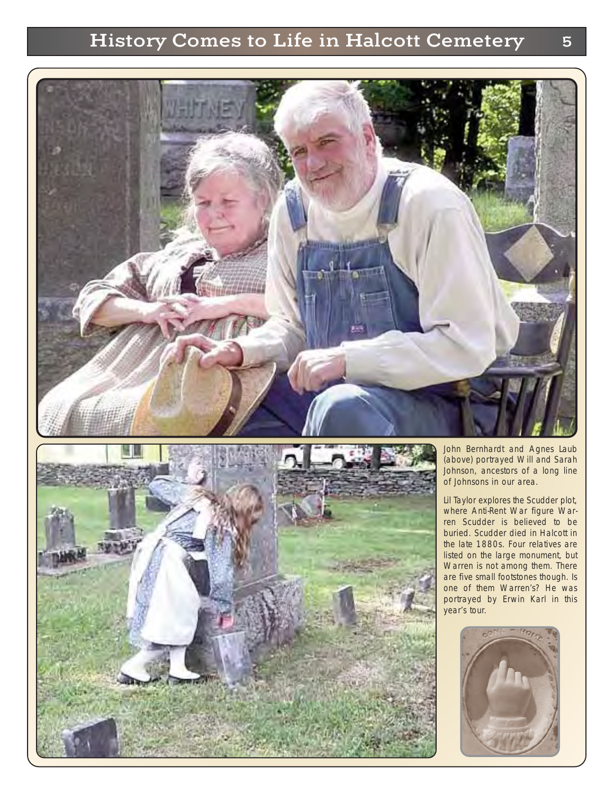## History Comes to Life in Halcott Cemetery 5





John Bernhardt and Agnes Laub (above) portrayed Will and Sarah Johnson, ancestors of a long line of Johnsons in our area.

Lil Taylor explores the Scudder plot, where Anti-Rent War figure Warren Scudder is believed to be buried. Scudder died in Halcott in the late 1880s. Four relatives are listed on the large monument, but Warren is not among them. There are five small footstones though. Is one of them Warren's? He was portrayed by Erwin Karl in this year's tour.

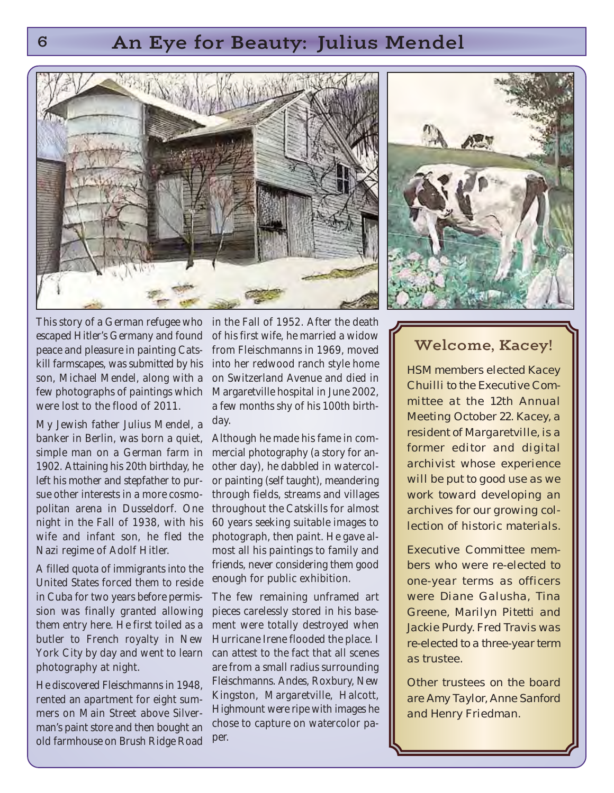### 6 An Eye for Beauty: Julius Mendel





*escaped Hitler's Germany and found peace and pleasure in painting Cats kill farmscapes, was submitted by his son, Michael Mendel, along with a few photographs of paintings which were lost to the flood of 2011.*

My Jewish father Julius Mendel, a banker in Berlin, was born a quiet, simple man on a German farm in 1902. Attaining his 20th birthday, he left his mother and stepfather to pursue other interests in a more cosmopolitan arena in Dusseldorf. One night in the Fall of 1938, with his wife and infant son, he fled the Nazi regime of Adolf Hitler.

A filled quota of immigrants into the United States forced them to reside in Cuba for two years before permission was finally granted allowing them entry here. He first toiled as a butler to French royalty in New York City by day and went to learn photography at night.

He discovered Fleischmanns in 1948, rented an apartment for eight summers on Main Street above Silverman's paint store and then bought an old farmhouse on Brush Ridge Road

*This story of a German refugee who* in the Fall of 1952. After the death of his first wife, he married a widow from Fleischmanns in 1969, moved into her redwood ranch style home on Switzerland Avenue and died in Margaretville hospital in June 2002, a few months shy of his 100th birthday.

> Although he made his fame in commercial photography (a story for another day), he dabbled in watercolor painting (self taught), meandering through fields, streams and villages throughout the Catskills for almost 60 years seeking suitable images to photograph, then paint. He gave almost all his paintings to family and friends, never considering them good enough for public exhibition.

> The few remaining unframed art pieces carelessly stored in his basement were totally destroyed when Hurricane Irene flooded the place. I can attest to the fact that all scenes are from a small radius surrounding Fleischmanns. Andes, Roxbury, New Kingston, Margaretville, Halcott, Highmount were ripe with images he chose to capture on watercolor paper.

### Welcome, Kacey!

HSM members elected Kacey Chuilli to the Executive Committee at the 12th Annual Meeting October 22. Kacey, a resident of Margaretville, is a former editor and digital archivist whose experience will be put to good use as we work toward developing an archives for our growing collection of historic materials.

Executive Committee members who were re-elected to one-year terms as officers were Diane Galusha, Tina Greene, Marilyn Pitetti and Jackie Purdy. Fred Travis was re-elected to a three-year term as trustee.

Other trustees on the board are Amy Taylor, Anne Sanford and Henry Friedman.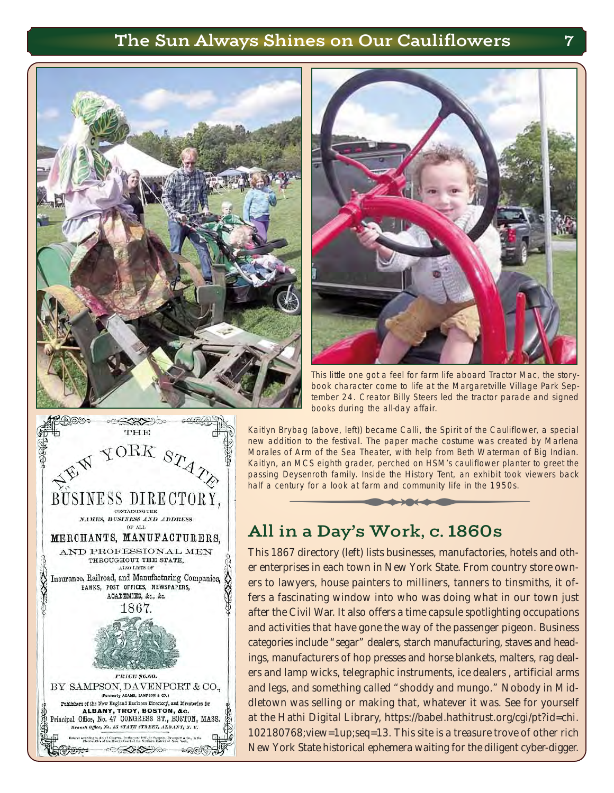### The Sun Always Shines on Our Cauliflowers 7





This little one got a feel for farm life aboard Tractor Mac, the storybook character come to life at the Margaretville Village Park September 24. Creator Billy Steers led the tractor parade and signed books during the all-day affair.

Kaitlyn Brybag (above, left)) became Calli, the Spirit of the Cauliflower, a special new addition to the festival. The paper mache costume was created by Marlena Morales of Arm of the Sea Theater, with help from Beth Waterman of Big Indian. Kaitlyn, an MCS eighth grader, perched on HSM's cauliflower planter to greet the passing Deysenroth family. Inside the History Tent, an exhibit took viewers back half a century for a look at farm and community life in the 1950s. This little one got a feel for farm life aboard Tractor Machook character come to life at the Margaretville Village<br>tember 24. Creator Billy Steers led the tractor parade abooks during the all-day affair.<br>Tybag (above, lef

### All in a Day's Work, c. 1860s

This 1867 directory (left) lists businesses, manufactories, hotels and other enterprises in each town in New York State. From country store owners to lawyers, house painters to milliners, tanners to tinsmiths, it offers a fascinating window into who was doing what in our town just after the Civil War. It also offers a time capsule spotlighting occupations and activities that have gone the way of the passenger pigeon. Business categories include "segar" dealers, starch manufacturing, staves and headings, manufacturers of hop presses and horse blankets, malters, rag dealers and lamp wicks, telegraphic instruments, ice dealers , artificial arms and legs, and something called "shoddy and mungo." Nobody in Middletown was selling or making that, whatever it was. See for yourself at the Hathi Digital Library, https://babel.hathitrust.org/cgi/pt?id=chi. 102180768;view=1up;seq=13. This site is a treasure trove of other rich New York State historical ephemera waiting for the diligent cyber-digger.